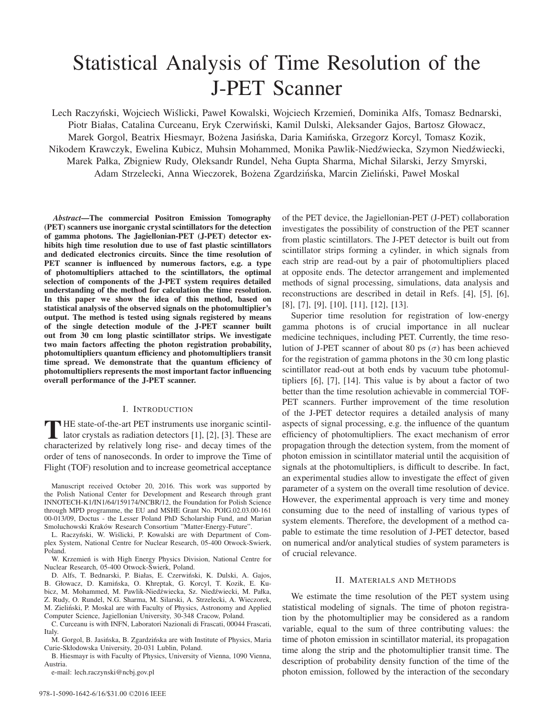# Statistical Analysis of Time Resolution of the J-PET Scanner

Lech Raczyński, Wojciech Wiślicki, Paweł Kowalski, Wojciech Krzemień, Dominika Alfs, Tomasz Bednarski, Piotr Białas, Catalina Curceanu, Eryk Czerwinski, Kamil Dulski, Aleksander Gajos, Bartosz Głowacz, ´ Marek Gorgol, Beatrix Hiesmayr, Bożena Jasińska, Daria Kamińska, Grzegorz Korcyl, Tomasz Kozik, Nikodem Krawczyk, Ewelina Kubicz, Muhsin Mohammed, Monika Pawlik-Niedźwiecka, Szymon Niedźwiecki, Marek Pałka, Zbigniew Rudy, Oleksandr Rundel, Neha Gupta Sharma, Michał Silarski, Jerzy Smyrski, Adam Strzelecki, Anna Wieczorek, Bożena Zgardzińska, Marcin Zieliński, Paweł Moskal

*Abstract*—The commercial Positron Emission Tomography (PET) scanners use inorganic crystal scintillators for the detection of gamma photons. The Jagiellonian-PET (J-PET) detector exhibits high time resolution due to use of fast plastic scintillators and dedicated electronics circuits. Since the time resolution of PET scanner is influenced by numerous factors, e.g. a type of photomultipliers attached to the scintillators, the optimal selection of components of the J-PET system requires detailed understanding of the method for calculation the time resolution. In this paper we show the idea of this method, based on statistical analysis of the observed signals on the photomultiplier's output. The method is tested using signals registered by means of the single detection module of the J-PET scanner built out from 30 cm long plastic scintillator strips. We investigate two main factors affecting the photon registration probability, photomultipliers quantum efficiency and photomultipliers transit time spread. We demonstrate that the quantum efficiency of photomultipliers represents the most important factor influencing overall performance of the J-PET scanner.

## I. INTRODUCTION

THE state-of-the-art PET instruments use inorganic scintil-<br>lator crystals as radiation detectors [1], [2], [3]. These are<br>shareotarized by relatively lane give and deepy times of the characterized by relatively long rise- and decay times of the order of tens of nanoseconds. In order to improve the Time of Flight (TOF) resolution and to increase geometrical acceptance

Manuscript received October 20, 2016. This work was supported by the Polish National Center for Development and Research through grant INNOTECH-K1/IN1/64/159174/NCBR/12, the Foundation for Polish Science through MPD programme, the EU and MSHE Grant No. POIG.02.03.00-161 00-013/09, Doctus - the Lesser Poland PhD Scholarship Fund, and Marian Smoluchowski Kraków Research Consortium "Matter-Energy-Future".

L. Raczyński, W. Wiślicki, P. Kowalski are with Department of Complex System, National Centre for Nuclear Research, 05-400 Otwock-Swierk, Poland.

W. Krzemień is with High Energy Physics Division, National Centre for Nuclear Research, 05-400 Otwock-Swierk, Poland. ´

D. Alfs, T. Bednarski, P. Białas, E. Czerwiński, K. Dulski, A. Gajos, B. Głowacz, D. Kamińska, O. Khreptak, G. Korcyl, T. Kozik, E. Kubicz, M. Mohammed, M. Pawlik-Niedźwiecka, Sz. Niedźwiecki, M. Pałka, Z. Rudy, O. Rundel, N.G. Sharma, M. Silarski, A. Strzelecki, A. Wieczorek, M. Zielinski, P. Moskal are with Faculty of Physics, Astronomy and Applied ´ Computer Science, Jagiellonian University, 30-348 Cracow, Poland.

C. Curceanu is with INFN, Laboratori Nazionali di Frascati, 00044 Frascati, Italy.

M. Gorgol, B. Jasińska, B. Zgardzińska are with Institute of Physics, Maria Curie-Skłodowska University, 20-031 Lublin, Poland.

B. Hiesmayr is with Faculty of Physics, University of Vienna, 1090 Vienna, Austria.

e-mail: lech.raczynski@ncbj.gov.pl

978-1-5090-1642-6/16/\$31.00 ©2016 IEEE

of the PET device, the Jagiellonian-PET (J-PET) collaboration investigates the possibility of construction of the PET scanner from plastic scintillators. The J-PET detector is built out from scintillator strips forming a cylinder, in which signals from each strip are read-out by a pair of photomultipliers placed at opposite ends. The detector arrangement and implemented methods of signal processing, simulations, data analysis and reconstructions are described in detail in Refs. [4], [5], [6], [8], [7], [9], [10], [11], [12], [13].

Superior time resolution for registration of low-energy gamma photons is of crucial importance in all nuclear medicine techniques, including PET. Currently, the time resolution of J-PET scanner of about 80 ps  $(\sigma)$  has been achieved for the registration of gamma photons in the 30 cm long plastic scintillator read-out at both ends by vacuum tube photomultipliers [6], [7], [14]. This value is by about a factor of two better than the time resolution achievable in commercial TOF-PET scanners. Further improvement of the time resolution of the J-PET detector requires a detailed analysis of many aspects of signal processing, e.g. the influence of the quantum efficiency of photomultipliers. The exact mechanism of error propagation through the detection system, from the moment of photon emission in scintillator material until the acquisition of signals at the photomultipliers, is difficult to describe. In fact, an experimental studies allow to investigate the effect of given parameter of a system on the overall time resolution of device. However, the experimental approach is very time and money consuming due to the need of installing of various types of system elements. Therefore, the development of a method capable to estimate the time resolution of J-PET detector, based on numerical and/or analytical studies of system parameters is of crucial relevance.

#### II. MATERIALS AND METHODS

We estimate the time resolution of the PET system using statistical modeling of signals. The time of photon registration by the photomultiplier may be considered as a random variable, equal to the sum of three contributing values: the time of photon emission in scintillator material, its propagation time along the strip and the photomultiplier transit time. The description of probability density function of the time of the photon emission, followed by the interaction of the secondary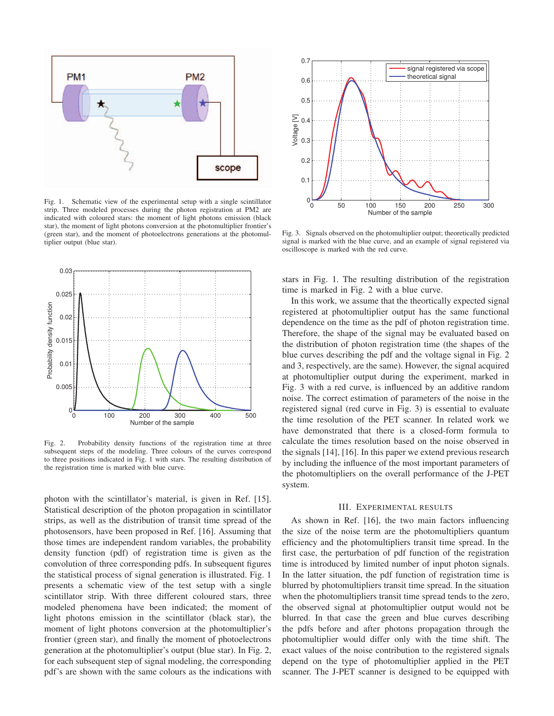

Fig. 1. Schematic view of the experimental setup with a single scintillator strip. Three modeled processes during the photon registration at PM2 are indicated with coloured stars: the moment of light photons emission (black star), the moment of light photons conversion at the photomultiplier frontier's (green star), and the moment of photoelectrons generations at the photomultiplier output (blue star).



Fig. 2. Probability density functions of the registration time at three subsequent steps of the modeling. Three colours of the curves correspond to three positions indicated in Fig. 1 with stars. The resulting distribution of the registration time is marked with blue curve.

photon with the scintillator's material, is given in Ref. [15]. Statistical description of the photon propagation in scintillator strips, as well as the distribution of transit time spread of the photosensors, have been proposed in Ref. [16]. Assuming that those times are independent random variables, the probability density function (pdf) of registration time is given as the convolution of three corresponding pdfs. In subsequent figures the statistical process of signal generation is illustrated. Fig. 1 presents a schematic view of the test setup with a single scintillator strip. With three different coloured stars, three modeled phenomena have been indicated; the moment of light photons emission in the scintillator (black star), the moment of light photons conversion at the photomultiplier's frontier (green star), and finally the moment of photoelectrons generation at the photomultiplier's output (blue star). In Fig. 2, for each subsequent step of signal modeling, the corresponding pdf's are shown with the same colours as the indications with



Fig. 3. Signals observed on the photomultiplier output; theoretically predicted signal is marked with the blue curve, and an example of signal registered via oscilloscope is marked with the red curve.

stars in Fig. 1. The resulting distribution of the registration time is marked in Fig. 2 with a blue curve.

In this work, we assume that the theortically expected signal registered at photomultiplier output has the same functional dependence on the time as the pdf of photon registration time. Therefore, the shape of the signal may be evaluated based on the distribution of photon registration time (the shapes of the blue curves describing the pdf and the voltage signal in Fig. 2 and 3, respectively, are the same). However, the signal acquired at photomultiplier output during the experiment, marked in Fig. 3 with a red curve, is influenced by an additive random noise. The correct estimation of parameters of the noise in the registered signal (red curve in Fig. 3) is essential to evaluate the time resolution of the PET scanner. In related work we have demonstrated that there is a closed-form formula to calculate the times resolution based on the noise observed in the signals [14], [16]. In this paper we extend previous research by including the influence of the most important parameters of the photomultipliers on the overall performance of the J-PET system.

## III. EXPERIMENTAL RESULTS

As shown in Ref. [16], the two main factors influencing the size of the noise term are the photomultipliers quantum efficiency and the photomultipliers transit time spread. In the first case, the perturbation of pdf function of the registration time is introduced by limited number of input photon signals. In the latter situation, the pdf function of registration time is blurred by photomultipliers transit time spread. In the situation when the photomultipliers transit time spread tends to the zero, the observed signal at photomultiplier output would not be blurred. In that case the green and blue curves describing the pdfs before and after photons propagation through the photomultiplier would differ only with the time shift. The exact values of the noise contribution to the registered signals depend on the type of photomultiplier applied in the PET scanner. The J-PET scanner is designed to be equipped with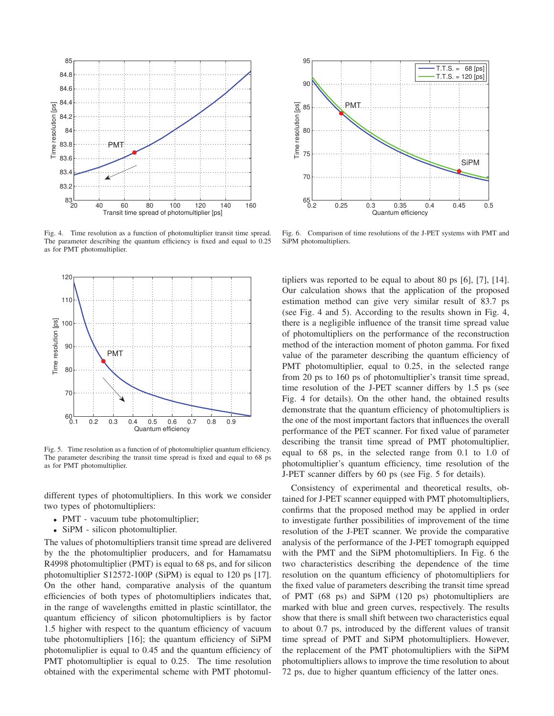

Fig. 4. Time resolution as a function of photomultiplier transit time spread. The parameter describing the quantum efficiency is fixed and equal to 0.25 as for PMT photomultiplier.



Fig. 5. Time resolution as a function of of photomultiplier quantum efficiency. The parameter describing the transit time spread is fixed and equal to 68 ps as for PMT photomultiplier.

different types of photomultipliers. In this work we consider two types of photomultipliers:

- PMT vacuum tube photomultiplier;
- SiPM silicon photomultiplier.

The values of photomultipliers transit time spread are delivered by the the photomultiplier producers, and for Hamamatsu R4998 photomultiplier (PMT) is equal to 68 ps, and for silicon photomultiplier S12572-100P (SiPM) is equal to 120 ps [17]. On the other hand, comparative analysis of the quantum efficiencies of both types of photomultipliers indicates that, in the range of wavelengths emitted in plastic scintillator, the quantum efficiency of silicon photomultipliers is by factor 1.5 higher with respect to the quantum efficiency of vacuum tube photomultipliers [16]; the quantum efficiency of SiPM photomuliplier is equal to 0.45 and the quantum efficiency of PMT photomultiplier is equal to 0.25. The time resolution obtained with the experimental scheme with PMT photomul-



Fig. 6. Comparison of time resolutions of the J-PET systems with PMT and SiPM photomultipliers.

tipliers was reported to be equal to about 80 ps [6], [7], [14]. Our calculation shows that the application of the proposed estimation method can give very similar result of 83.7 ps (see Fig. 4 and 5). According to the results shown in Fig. 4, there is a negligible influence of the transit time spread value of photomultipliers on the performance of the reconstruction method of the interaction moment of photon gamma. For fixed value of the parameter describing the quantum efficiency of PMT photomultiplier, equal to 0.25, in the selected range from 20 ps to 160 ps of photomultiplier's transit time spread, time resolution of the J-PET scanner differs by 1.5 ps (see Fig. 4 for details). On the other hand, the obtained results demonstrate that the quantum efficiency of photomultipliers is the one of the most important factors that influences the overall performance of the PET scanner. For fixed value of parameter describing the transit time spread of PMT photomultiplier, equal to 68 ps, in the selected range from 0.1 to 1.0 of photomultiplier's quantum efficiency, time resolution of the J-PET scanner differs by 60 ps (see Fig. 5 for details).

Consistency of experimental and theoretical results, obtained for J-PET scanner equipped with PMT photomultipliers, confirms that the proposed method may be applied in order to investigate further possibilities of improvement of the time resolution of the J-PET scanner. We provide the comparative analysis of the performance of the J-PET tomograph equipped with the PMT and the SiPM photomultipliers. In Fig. 6 the two characteristics describing the dependence of the time resolution on the quantum efficiency of photomultipliers for the fixed value of parameters describing the transit time spread of PMT (68 ps) and SiPM (120 ps) photomultipliers are marked with blue and green curves, respectively. The results show that there is small shift between two characteristics equal to about 0.7 ps, introduced by the different values of transit time spread of PMT and SiPM photomultipliers. However, the replacement of the PMT photomultipliers with the SiPM photomultipliers allows to improve the time resolution to about 72 ps, due to higher quantum efficiency of the latter ones.